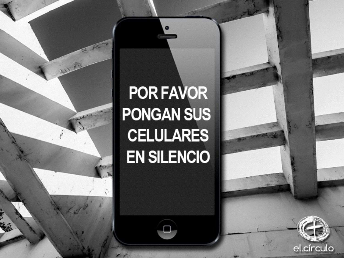#### **POR FAVOR PONGAN SUS CELULARES EN SILENCIO**

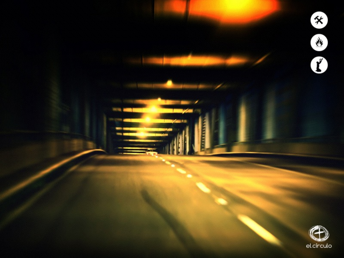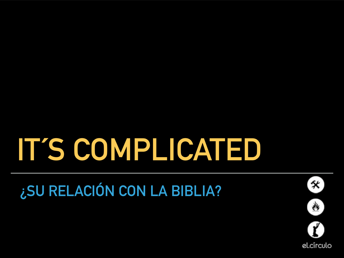

#### **¿SU RELACIÓN CON LA BIBLIA?**

### **IT´S COMPLICATED**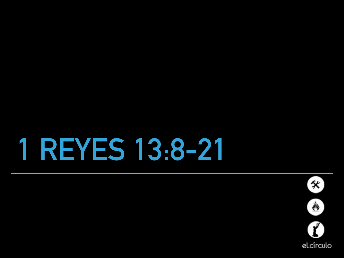### **1 REYES 13:8-21**

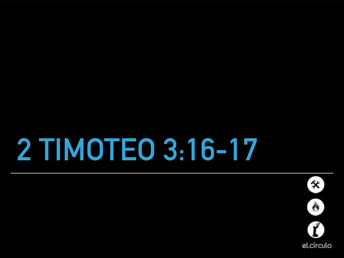## **2 TIMOTEO 3:16-17**

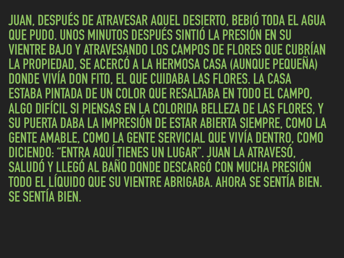**JUAN, DESPUÉS DE ATRAVESAR AQUEL DESIERTO, BEBIÓ TODA EL AGUA QUE PUDO. UNOS MINUTOS DESPUÉS SINTIÓ LA PRESIÓN EN SU VIENTRE BAJO Y ATRAVESANDO LOS CAMPOS DE FLORES QUE CUBRÍAN LA PROPIEDAD, SE ACERCÓ A LA HERMOSA CASA (AUNQUE PEQUEÑA) DONDE VIVÍA DON FITO, EL QUE CUIDABA LAS FLORES. LA CASA ESTABA PINTADA DE UN COLOR QUE RESALTABA EN TODO EL CAMPO, ALGO DIFÍCIL SI PIENSAS EN LA COLORIDA BELLEZA DE LAS FLORES, Y SU PUERTA DABA LA IMPRESIÓN DE ESTAR ABIERTA SIEMPRE, COMO LA GENTE AMABLE, COMO LA GENTE SERVICIAL QUE VIVÍA DENTRO, COMO DICIENDO: "ENTRA AQUÍ TIENES UN LUGAR". JUAN LA ATRAVESÓ, SALUDÓ Y LLEGÓ AL BAÑO DONDE DESCARGÓ CON MUCHA PRESIÓN TODO EL LÍQUIDO QUE SU VIENTRE ABRIGABA. AHORA SE SENTÍA BIEN. SE SENTÍA BIEN.**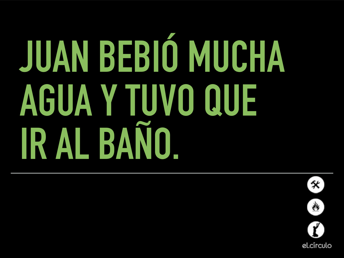## JUAN BEBIÓ MUCHA AGUA Y TUVO QUE IR AL BAÑO

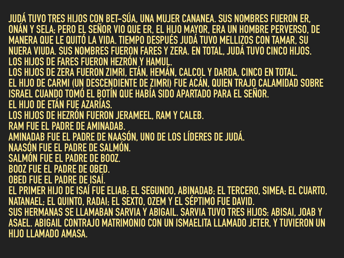**JUDÁ TUVO TRES HIJOS CON BET-SÚA, UNA MUJER CANANEA. SUS NOMBRES FUERON ER, ONÁN Y SELA; PERO EL SEÑOR VIO QUE ER, EL HIJO MAYOR, ERA UN HOMBRE PERVERSO, DE MANERA QUE LE QUITÓ LA VIDA. TIEMPO DESPUÉS JUDÁ TUVO MELLIZOS CON TAMAR, SU NUERA VIUDA. SUS NOMBRES FUERON FARES Y ZERA. EN TOTAL, JUDÁ TUVO CINCO HIJOS. LOS HIJOS DE FARES FUERON HEZRÓN Y HAMUL. LOS HIJOS DE ZERA FUERON ZIMRI, ETÁN, HEMÁN, CALCOL Y DARDA, CINCO EN TOTAL. EL HIJO DE CARMI (UN DESCENDIENTE DE ZIMRI) FUE ACÁN, QUIEN TRAJO CALAMIDAD SOBRE ISRAEL CUANDO TOMÓ EL BOTÍN QUE HABÍA SIDO APARTADO PARA EL SEÑOR. EL HIJO DE ETÁN FUE AZARÍAS. LOS HIJOS DE HEZRÓN FUERON JERAMEEL, RAM Y CALEB. RAM FUE EL PADRE DE AMINADAB. AMINADAB FUE EL PADRE DE NAASÓN, UNO DE LOS LÍDERES DE JUDÁ. NAASÓN FUE EL PADRE DE SALMÓN. SALMÓN FUE EL PADRE DE BOOZ. BOOZ FUE EL PADRE DE OBED. OBED FUE EL PADRE DE ISAÍ. EL PRIMER HIJO DE ISAÍ FUE ELIAB; EL SEGUNDO, ABINADAB; EL TERCERO, SIMEA; EL CUARTO, NATANAEL; EL QUINTO, RADAI; EL SEXTO, OZEM Y EL SÉPTIMO FUE DAVID. SUS HERMANAS SE LLAMABAN SARVIA Y ABIGAIL. SARVIA TUVO TRES HIJOS: ABISAI, JOAB Y ASAEL. ABIGAIL CONTRAJO MATRIMONIO CON UN ISMAELITA LLAMADO JETER, Y TUVIERON UN HIJO LLAMADO AMASA.**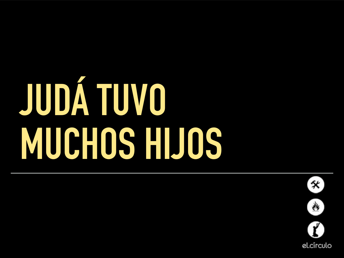# JUDA TUVO MUCHOS HIJOS

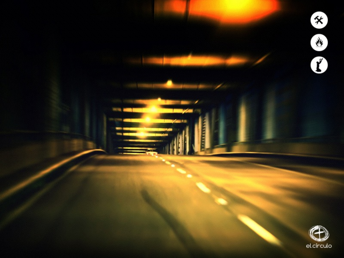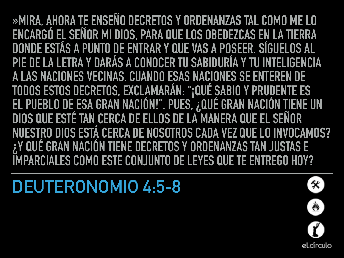**»MIRA, AHORA TE ENSEÑO DECRETOS Y ORDENANZAS TAL COMO ME LO ENCARGÓ EL SEÑOR MI DIOS, PARA QUE LOS OBEDEZCAS EN LA TIERRA DONDE ESTÁS A PUNTO DE ENTRAR Y QUE VAS A POSEER. SÍGUELOS AL PIE DE LA LETRA Y DARÁS A CONOCER TU SABIDURÍA Y TU INTELIGENCIA A LAS NACIONES VECINAS. CUANDO ESAS NACIONES SE ENTEREN DE TODOS ESTOS DECRETOS, EXCLAMARÁN: "¡QUÉ SABIO Y PRUDENTE ES EL PUEBLO DE ESA GRAN NACIÓN!". PUES, ¿QUÉ GRAN NACIÓN TIENE UN DIOS QUE ESTÉ TAN CERCA DE ELLOS DE LA MANERA QUE EL SEÑOR NUESTRO DIOS ESTÁ CERCA DE NOSOTROS CADA VEZ QUE LO INVOCAMOS? ¿Y QUÉ GRAN NACIÓN TIENE DECRETOS Y ORDENANZAS TAN JUSTAS E IMPARCIALES COMO ESTE CONJUNTO DE LEYES QUE TE ENTREGO HOY?**

#### **DEUTERONOMIO 4:5-8**

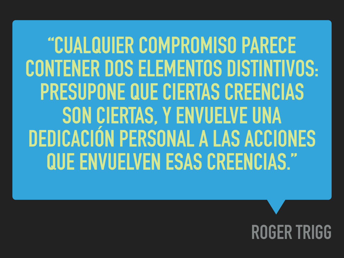**"CUALQUIER COMPROMISO PARECE CONTENER DOS ELEMENTOS DISTINTIVOS: PRESUPONE QUE CIERTAS CREENCIAS SON CIERTAS, Y ENVUELVE UNA DEDICACIÓN PERSONAL A LAS ACCIONES QUE ENVUELVEN ESAS CREENCIAS."**

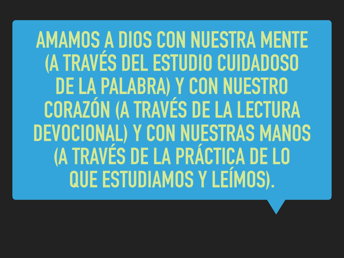**AMAMOS A DIOS CON NUESTRA MENTE (A TRAVÉS DEL ESTUDIO CUIDADOSO DE LA PALABRA) Y CON NUESTRO CORAZÓN (A TRAVÉS DE LA LECTURA DEVOCIONAL) Y CON NUESTRAS MANOS (A TRAVÉS DE LA PRÁCTICA DE LO QUE ESTUDIAMOS Y LEÍMOS).**